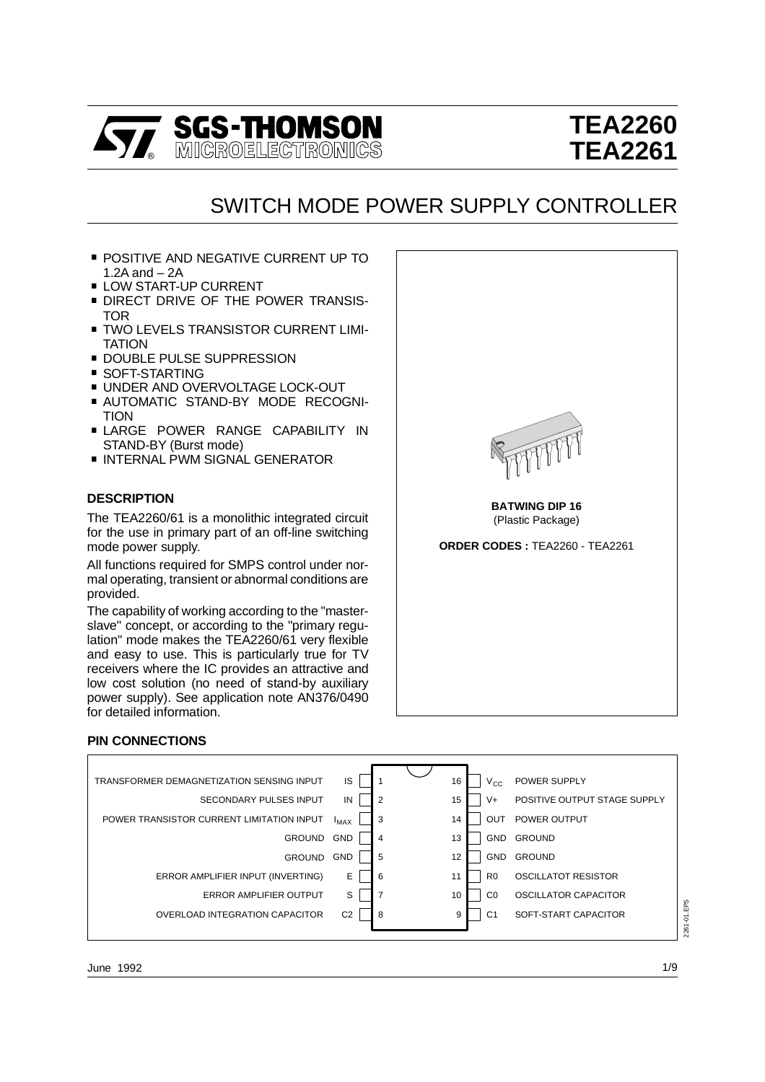

# **TEA2260 TEA2261**

## SWITCH MODE POWER SUPPLY CONTROLLER

- POSITIVE AND NEGATIVE CURRENT UP TO<br>1.2A and 2A
- 
- LOW START-UP CURRENT<br>■ DIRECT DRIVE OF THE POWER TRANSIS-<br>TOR
- **TWO LEVELS TRANSISTOR CURRENT LIMI-**<br>TATION
- 
- 
- 
- DOUBLE PULSE SUPPRESSION<br>■ SOFT-STARTING<br>■ UNDER AND OVERVOLTAGE LOCK-OUT<br>■ AUTOMATIC STAND-BY MODE RECOGNI-<br>TION
- LARGE POWER RANGE CAPABILITY IN STAND-BY (Burst mode)
- $\blacksquare$  INTERNAL PWM SIGNAL GENERATOR

#### **DESCRIPTION**

The TEA2260/61 is a monolithic integrated circuit for the use in primary part of an off-line switching mode power supply.

All functions required for SMPS control under normal operating, transient or abnormal conditions are provided.

The capability of working according to the "masterslave" concept, or according to the "primary regulation" mode makes the TEA2260/61 very flexible and easy to use. This is particularly true for TV receivers where the IC provides an attractive and low cost solution (no need of stand-by auxiliary power supply). See application note AN376/0490 for detailed information.



#### **PIN CONNECTIONS**

Ē

| TRANSFORMER DEMAGNETIZATION SENSING INPUT | IS             |                | 16<br>$V_{\rm CC}$   | <b>POWER SUPPLY</b>          |             |
|-------------------------------------------|----------------|----------------|----------------------|------------------------------|-------------|
| SECONDARY PULSES INPUT                    | IN             | $\overline{2}$ | $V +$<br>15          | POSITIVE OUTPUT STAGE SUPPLY |             |
| POWER TRANSISTOR CURRENT LIMITATION INPUT | $I_{MAX}$      | 3              | OUT<br>14            | POWER OUTPUT                 |             |
| <b>GROUND</b>                             | <b>GND</b>     | $\overline{4}$ | 13                   | <b>GND</b><br><b>GROUND</b>  |             |
| <b>GROUND</b>                             | <b>GND</b>     | 5              | 12                   | <b>GROUND</b><br><b>GND</b>  |             |
| ERROR AMPLIFIER INPUT (INVERTING)         | E              | 6              | R <sub>0</sub><br>11 | OSCILLATOT RESISTOR          |             |
| <b>ERROR AMPLIFIER OUTPUT</b>             | S              | $\overline{7}$ | C <sub>0</sub><br>10 | OSCILLATOR CAPACITOR         |             |
| OVERLOAD INTEGRATION CAPACITOR            | C <sub>2</sub> | 8              | C <sub>1</sub><br>9  | SOFT-START CAPACITOR         | 2261-01.EPS |
|                                           |                |                |                      |                              |             |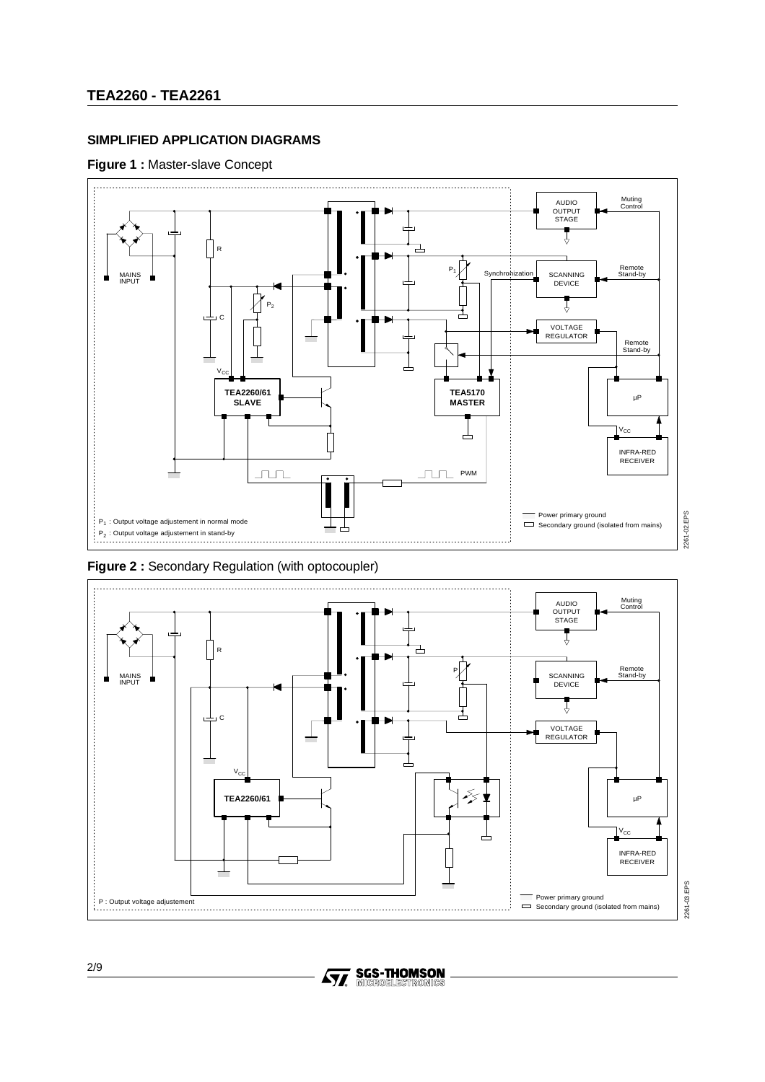## **SIMPLIFIED APPLICATION DIAGRAMS**

#### **Figure 1 :** Master-slave Concept



**Figure 2 :** Secondary Regulation (with optocoupler)



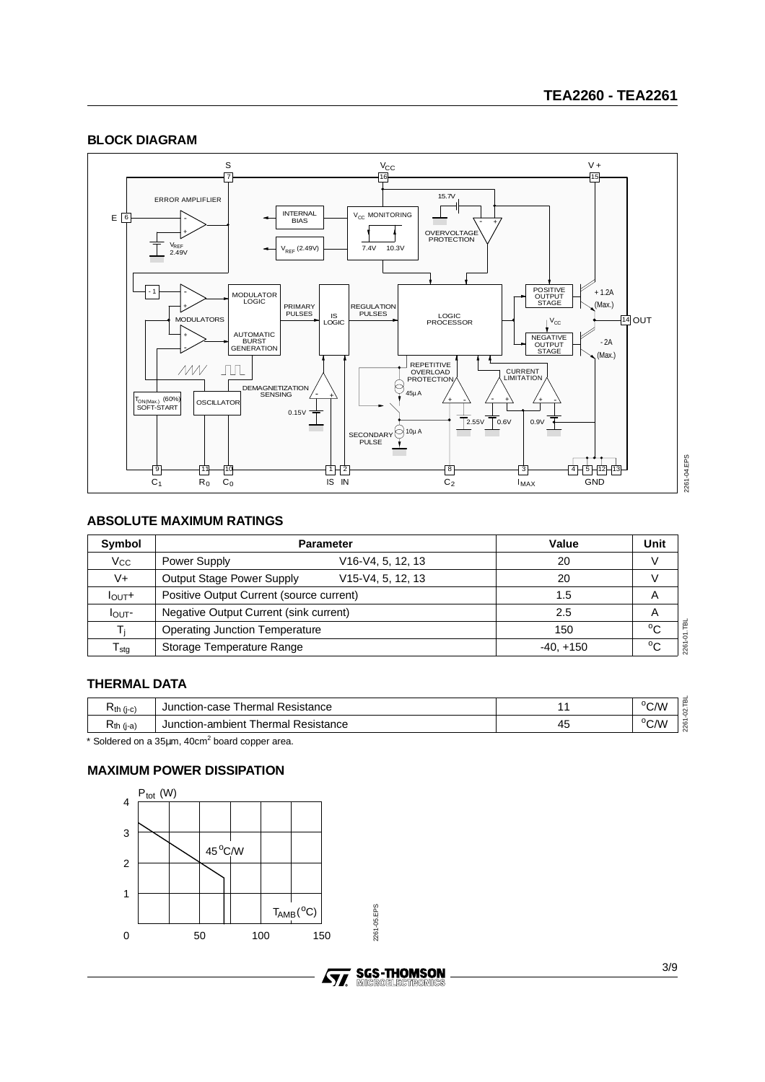## **BLOCK DIAGRAM**



## **ABSOLUTE MAXIMUM RATINGS**

| Symbol                | <b>Parameter</b>                                            | Value       | Unit         |
|-----------------------|-------------------------------------------------------------|-------------|--------------|
| <b>V<sub>cc</sub></b> | V <sub>16</sub> -V <sub>4</sub> , 5, 12, 13<br>Power Supply | 20          |              |
| V+                    | Output Stage Power Supply<br>$V15-V4, 5, 12, 13$            | 20          |              |
| $I_{\text{OUT}}+$     | Positive Output Current (source current)                    | 1.5         | A            |
| I <sub>OUT</sub>      | Negative Output Current (sink current)                      | 2.5         | A            |
| Ti                    | <b>Operating Junction Temperature</b>                       | 150         | $^{\circ}$ C |
| $T_{\rm stg}$         | Storage Temperature Range                                   | $-40, +150$ | $^{\circ}$ C |

## **THERMAL DATA**

| ≺th (j-c)                | Resistance<br>hermal<br>Junction-c<br>case |    | $\sim$<br>"V/ |
|--------------------------|--------------------------------------------|----|---------------|
| $\overline{\phantom{a}}$ | Thermal Resistance                         | 4. | $J \cap F$    |
| ¬th (j-a)                | Junction-ambient                           |    | C/V           |

 $*$  Soldered on a 35 $\mu$ m, 40cm<sup>2</sup> board copper area.

## **MAXIMUM POWER DISSIPATION**



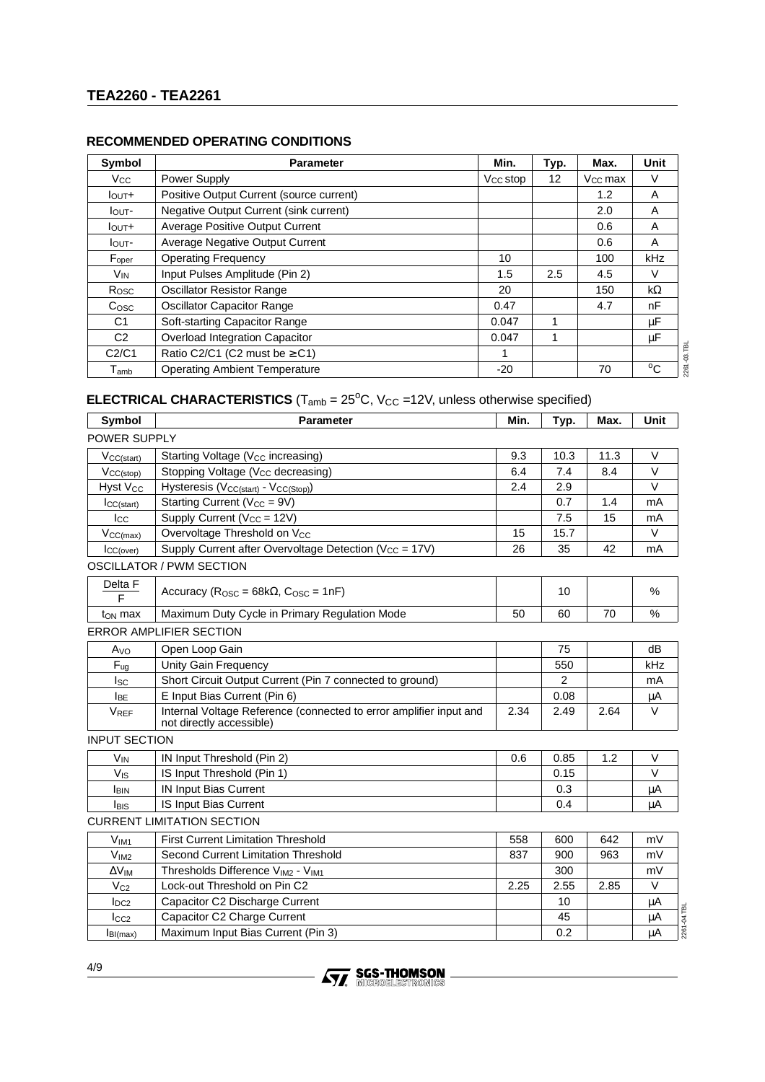| Symbol                      | <b>Parameter</b>                         | Min.                 | Typ. | Max.                | Unit         |
|-----------------------------|------------------------------------------|----------------------|------|---------------------|--------------|
| <b>Vcc</b>                  | Power Supply                             | V <sub>CC</sub> stop | 12   | V <sub>CC</sub> max | V            |
| $I_{\text{OUT}}+$           | Positive Output Current (source current) |                      |      | 1.2                 | A            |
| $I_{\text{OUT}}$            | Negative Output Current (sink current)   |                      |      | 2.0                 | A            |
| $I_{\text{OUT}}+$           | <b>Average Positive Output Current</b>   |                      |      | 0.6                 | A            |
| $I_{\text{OUT}}$            | Average Negative Output Current          |                      |      | 0.6                 | A            |
| F <sub>oper</sub>           | <b>Operating Frequency</b>               | 10                   |      | 100                 | kHz          |
| V <sub>IN</sub>             | Input Pulses Amplitude (Pin 2)           | 1.5                  | 2.5  | 4.5                 | V            |
| Rosc                        | <b>Oscillator Resistor Range</b>         | 20                   |      | 150                 | $k\Omega$    |
| C <sub>OSC</sub>            | <b>Oscillator Capacitor Range</b>        | 0.47                 |      | 4.7                 | nF           |
| C <sub>1</sub>              | Soft-starting Capacitor Range            | 0.047                | 1    |                     | μF           |
| C <sub>2</sub>              | Overload Integration Capacitor           | 0.047                | 4    |                     | μF           |
| C2/C1                       | Ratio C2/C1 (C2 must be $\geq$ C1)       | 1                    |      |                     |              |
| $\mathsf{T}_{\mathsf{amb}}$ | <b>Operating Ambient Temperature</b>     | $-20$                |      | 70                  | $^{\circ}$ C |

## **ELECTRICAL CHARACTERISTICS** ( $T_{amb} = 25^{\circ}$ C, V<sub>CC</sub> =12V, unless otherwise specified)

| <b>Symbol</b>        | <b>Parameter</b>                                                                               | Min. | Typ.           | Max. | <b>Unit</b>       |
|----------------------|------------------------------------------------------------------------------------------------|------|----------------|------|-------------------|
| POWER SUPPLY         |                                                                                                |      |                |      |                   |
| $V_{CC(stat)}$       | Starting Voltage (V <sub>cc</sub> increasing)                                                  | 9.3  | 10.3           | 11.3 | $\vee$            |
| $V_{CC(stop)}$       | Stopping Voltage (V <sub>CC</sub> decreasing)                                                  | 6.4  | 7.4            | 8.4  | $\vee$            |
| <b>Hyst Vcc</b>      | Hysteresis (V <sub>CC(start)</sub> - V <sub>CC(Stop)</sub> )                                   | 2.4  | 2.9            |      | $\vee$            |
| ICC(stat)            | Starting Current ( $V_{CC} = 9V$ )                                                             |      | 0.7            | 1.4  | mA                |
| Icc                  | Supply Current (Vcc = 12V)                                                                     |      | 7.5            | 15   | mA                |
| $V_{CC(max)}$        | Overvoltage Threshold on V <sub>CC</sub>                                                       | 15   | 15.7           |      | $\vee$            |
| ICC(over)            | Supply Current after Overvoltage Detection (V <sub>CC</sub> = 17V)                             | 26   | 35             | 42   | mA                |
|                      | <b>OSCILLATOR / PWM SECTION</b>                                                                |      |                |      |                   |
| Delta F<br>F         | Accuracy ( $R_{\rm OSC}$ = 68k $\Omega$ , $C_{\rm OSC}$ = 1nF)                                 |      | 10             |      | $\%$              |
| t <sub>ON</sub> max  | Maximum Duty Cycle in Primary Regulation Mode                                                  | 50   | 60             | 70   | $\%$              |
|                      | <b>ERROR AMPLIFIER SECTION</b>                                                                 |      |                |      |                   |
| A <sub>VO</sub>      | Open Loop Gain                                                                                 |      | 75             |      | dB                |
| $F_{uq}$             | Unity Gain Frequency                                                                           |      | 550            |      | kHz               |
| $I_{SC}$             | Short Circuit Output Current (Pin 7 connected to ground)                                       |      | $\overline{2}$ |      | mA                |
| <b>IBE</b>           | E Input Bias Current (Pin 6)                                                                   |      | 0.08           |      | μA                |
| <b>VREF</b>          | Internal Voltage Reference (connected to error amplifier input and<br>not directly accessible) | 2.34 | 2.49           | 2.64 | V                 |
| <b>INPUT SECTION</b> |                                                                                                |      |                |      |                   |
| $V_{IN}$             | IN Input Threshold (Pin 2)                                                                     | 0.6  | 0.85           | 1.2  | $\vee$            |
| $V_{\text{IS}}$      | IS Input Threshold (Pin 1)                                                                     |      | 0.15           |      | $\vee$            |
| <b>I</b> BIN         | <b>IN Input Bias Current</b>                                                                   |      | 0.3            |      | μA                |
| <b>I</b> BIS         | IS Input Bias Current                                                                          |      | 0.4            |      | μA                |
|                      | <b>CURRENT LIMITATION SECTION</b>                                                              |      |                |      |                   |
| $V_{IM1}$            | <b>First Current Limitation Threshold</b>                                                      | 558  | 600            | 642  | mV                |
| V <sub>IM2</sub>     | Second Current Limitation Threshold                                                            | 837  | 900            | 963  | mV                |
| $\Delta V_{IM}$      | Thresholds Difference V <sub>IM2</sub> - V <sub>IM1</sub>                                      |      | 300            |      | mV                |
| $V_{C2}$             | Lock-out Threshold on Pin C2                                                                   | 2.25 | 2.55           | 2.85 | $\vee$            |
| $I_{DC2}$            | Capacitor C2 Discharge Current                                                                 |      | 10             |      | μA                |
| $I_{CC2}$            | Capacitor C2 Charge Current                                                                    |      | 45             |      | 2261-04.TBL<br>μA |
| I <sub>BI(max)</sub> | Maximum Input Bias Current (Pin 3)                                                             |      | 0.2            |      | μA                |

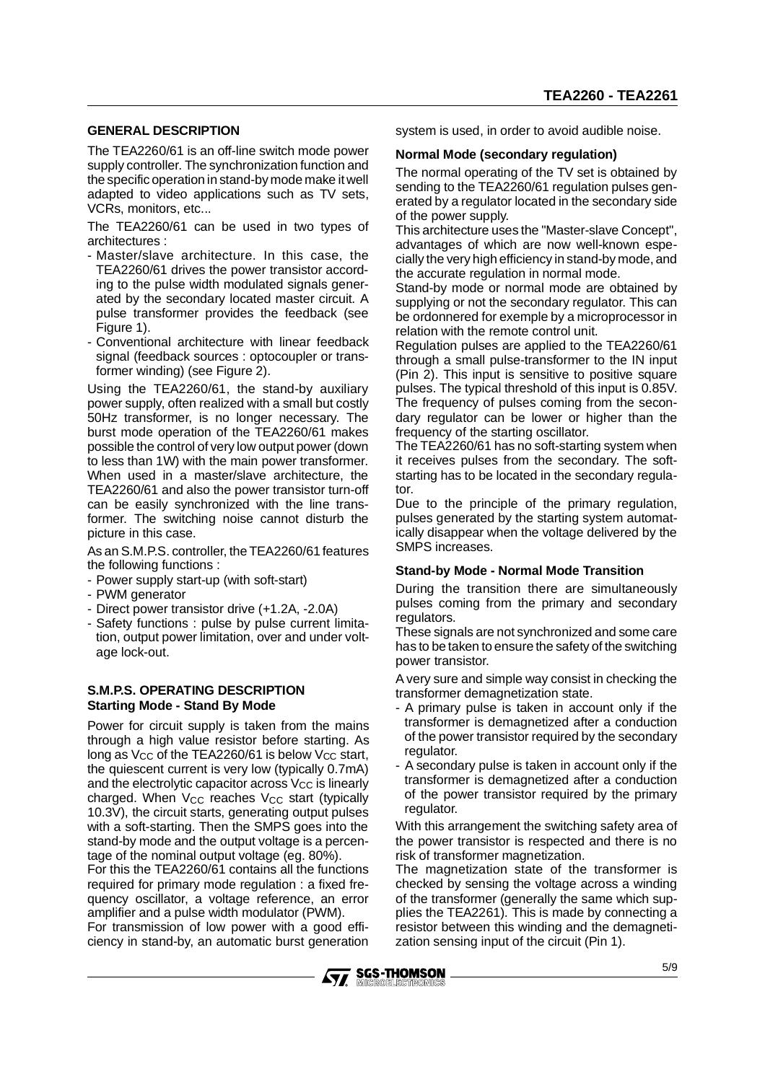#### **GENERAL DESCRIPTION**

The TEA2260/61 is an off-line switch mode power supply controller. The synchronization function and the specific operation in stand-by mode make it well adapted to video applications such as TV sets, VCRs, monitors, etc...

The TEA2260/61 can be used in two types of architectures :

- Master/slave architecture. In this case, the TEA2260/61 drives the power transistor according to the pulse width modulated signals generated by the secondary located master circuit. A pulse transformer provides the feedback (see Figure 1).
- Conventional architecture with linear feedback signal (feedback sources : optocoupler or transformer winding) (see Figure 2).

Using the TEA2260/61, the stand-by auxiliary power supply, often realized with a small but costly 50Hz transformer, is no longer necessary. The burst mode operation of the TEA2260/61 makes possible the control of very low output power (down to less than 1W) with the main power transformer. When used in a master/slave architecture, the TEA2260/61 and also the power transistor turn-off can be easily synchronized with the line transformer. The switching noise cannot disturb the picture in this case.

As an S.M.P.S. controller, the TEA2260/61 features the following functions :

- Power supply start-up (with soft-start)
- PWM generator
- Direct power transistor drive (+1.2A, -2.0A)
- Safety functions : pulse by pulse current limitation, output power limitation, over and under voltage lock-out.

#### **S.M.P.S. OPERATING DESCRIPTION Starting Mode - Stand By Mode**

Power for circuit supply is taken from the mains through a high value resistor before starting. As long as  $V_{CC}$  of the TEA2260/61 is below  $V_{CC}$  start, the quiescent current is very low (typically 0.7mA) and the electrolytic capacitor across  $V_{CC}$  is linearly charged. When  $V_{CC}$  reaches  $V_{CC}$  start (typically 10.3V), the circuit starts, generating output pulses with a soft-starting. Then the SMPS goes into the stand-by mode and the output voltage is a percentage of the nominal output voltage (eg. 80%).

For this the TEA2260/61 contains all the functions required for primary mode regulation : a fixed frequency oscillator, a voltage reference, an error amplifier and a pulse width modulator (PWM).

For transmission of low power with a good efficiency in stand-by, an automatic burst generation system is used, in order to avoid audible noise.

#### **Normal Mode (secondary regulation)**

The normal operating of the TV set is obtained by sending to the TEA2260/61 regulation pulses generated by a regulator located in the secondary side of the power supply.

This architecture uses the "Master-slave Concept", advantages of which are now well-known especially the very high efficiency in stand-by mode, and the accurate regulation in normal mode.

Stand-by mode or normal mode are obtained by supplying or not the secondary regulator. This can be ordonnered for exemple by a microprocessor in relation with the remote control unit.

Regulation pulses are applied to the TEA2260/61 through a small pulse-transformer to the IN input (Pin 2). This input is sensitive to positive square pulses. The typical threshold of this input is 0.85V. The frequency of pulses coming from the secondary regulator can be lower or higher than the frequency of the starting oscillator.

The TEA2260/61 has no soft-starting system when it receives pulses from the secondary. The softstarting has to be located in the secondary regulator.

Due to the principle of the primary regulation, pulses generated by the starting system automatically disappear when the voltage delivered by the SMPS increases.

#### **Stand-by Mode - Normal Mode Transition**

During the transition there are simultaneously pulses coming from the primary and secondary regulators.

These signals are not synchronized and some care has to be taken to ensure the safety of the switching power transistor.

A very sure and simple way consist in checking the transformer demagnetization state.

- A primary pulse is taken in account only if the transformer is demagnetized after a conduction of the power transistor required by the secondary regulator.
- A secondary pulse is taken in account only if the transformer is demagnetized after a conduction of the power transistor required by the primary regulator.

With this arrangement the switching safety area of the power transistor is respected and there is no risk of transformer magnetization.

The magnetization state of the transformer is checked by sensing the voltage across a winding of the transformer (generally the same which supplies the TEA2261). This is made by connecting a resistor between this winding and the demagnetization sensing input of the circuit (Pin 1).

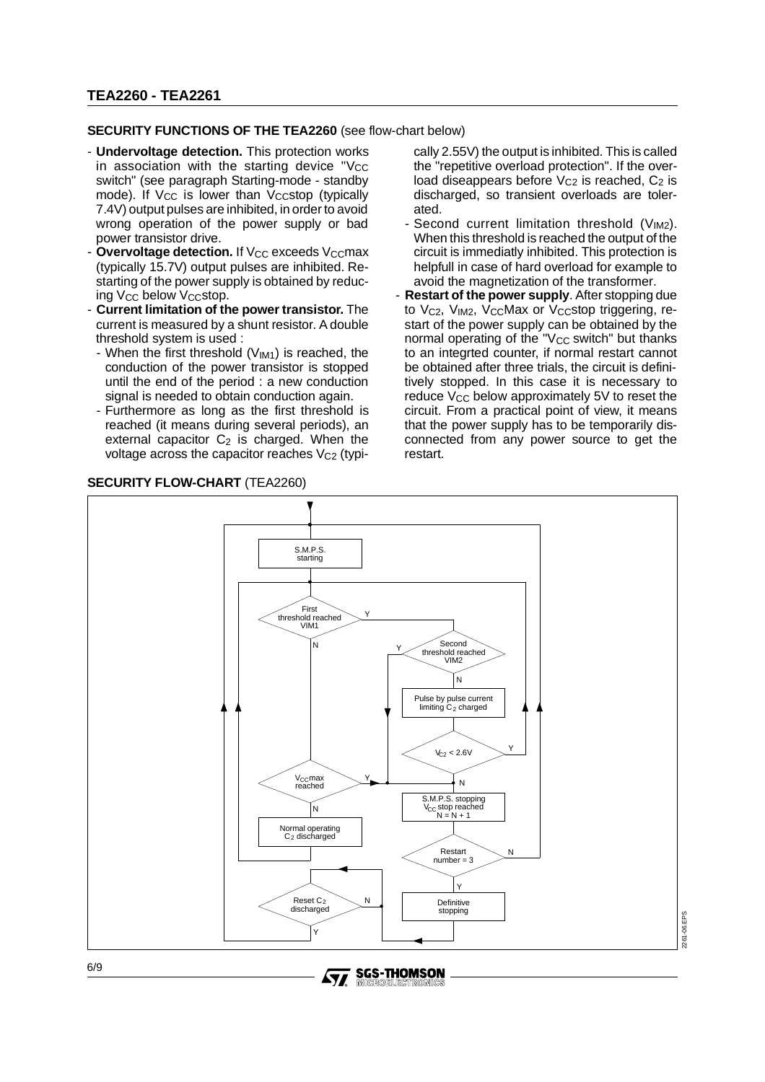## **TEA2260 - TEA2261**

#### **SECURITY FUNCTIONS OF THE TEA2260** (see flow-chart below)

- **Undervoltage detection.** This protection works in association with the starting device "Vcc switch" (see paragraph Starting-mode - standby mode). If  $V_{CC}$  is lower than  $V_{CC}$ stop (typically 7.4V) output pulses are inhibited, in order to avoid wrong operation of the power supply or bad power transistor drive.
- **Overvoltage detection.** If  $V_{CC}$  exceeds  $V_{CC}$ max (typically 15.7V) output pulses are inhibited. Restarting of the power supply is obtained by reducing V<sub>CC</sub> below V<sub>CC</sub>stop.
- **Current limitation of the power transistor.** The current is measured by a shunt resistor. A double threshold system is used :
	- When the first threshold  $(V_{IM1})$  is reached, the conduction of the power transistor is stopped until the end of the period : a new conduction signal is needed to obtain conduction again.
	- Furthermore as long as the first threshold is reached (it means during several periods), an external capacitor  $C_2$  is charged. When the voltage across the capacitor reaches  $V_{C2}$  (typi-

#### **SECURITY FLOW-CHART** (TEA2260)

cally 2.55V) the output is inhibited. This is called the "repetitive overload protection". If the overload diseappears before  $V_{C2}$  is reached,  $C_2$  is discharged, so transient overloads are tolerated.

- Second current limitation threshold  $(V_{IM2})$ . When this threshold is reached the output of the circuit is immediatly inhibited. This protection is helpfull in case of hard overload for example to avoid the magnetization of the transformer.
- **Restart of the power supply**. After stopping due to Vc<sub>2</sub>, V<sub>IM2</sub>, V<sub>CC</sub>Max or V<sub>CC</sub>stop triggering, restart of the power supply can be obtained by the normal operating of the " $V_{CC}$  switch" but thanks to an integrted counter, if normal restart cannot be obtained after three trials, the circuit is definitively stopped. In this case it is necessary to reduce  $V_{CC}$  below approximately 5V to reset the circuit. From a practical point of view, it means that the power supply has to be temporarily disconnected from any power source to get the restart.



**SGS-THOMSON**<br>MICROELECTRONICS **STI**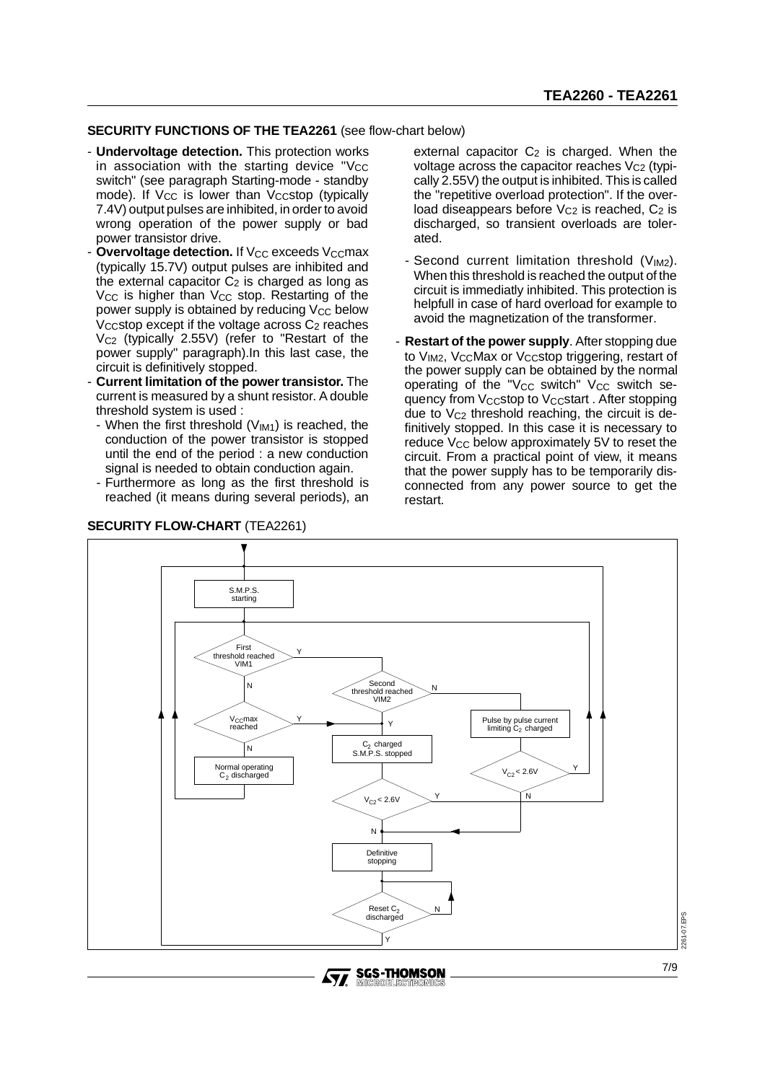#### **SECURITY FUNCTIONS OF THE TEA2261** (see flow-chart below)

- **Undervoltage detection.** This protection works in association with the starting device " $V_{CC}$ switch" (see paragraph Starting-mode - standby mode). If  $V_{CC}$  is lower than  $V_{CC}$ stop (typically 7.4V) output pulses are inhibited, in order to avoid wrong operation of the power supply or bad power transistor drive.
- **Overvoltage detection.** If V<sub>CC</sub> exceeds V<sub>CC</sub>max (typically 15.7V) output pulses are inhibited and the external capacitor  $C_2$  is charged as long as V<sub>CC</sub> is higher than V<sub>CC</sub> stop. Restarting of the power supply is obtained by reducing  $V_{CC}$  below V<sub>CC</sub> stop except if the voltage across  $C_2$  reaches  $V_{C2}$  (typically 2.55V) (refer to "Restart of the power supply" paragraph).In this last case, the circuit is definitively stopped.
- **Current limitation of the power transistor.** The current is measured by a shunt resistor. A double threshold system is used :
	- When the first threshold  $(V_{IM1})$  is reached, the conduction of the power transistor is stopped until the end of the period : a new conduction signal is needed to obtain conduction again.
	- Furthermore as long as the first threshold is reached (it means during several periods), an



external capacitor  $C_2$  is charged. When the voltage across the capacitor reaches  $V_{C2}$  (typically 2.55V) the output is inhibited. This is called the "repetitive overload protection". If the overload diseappears before  $V_{C2}$  is reached,  $C_2$  is discharged, so transient overloads are tolerated.

- Second current limitation threshold (V<sub>IM2</sub>). When this threshold is reached the output of the circuit is immediatly inhibited. This protection is helpfull in case of hard overload for example to avoid the magnetization of the transformer.
- **Restart of the power supply**. After stopping due to V<sub>IM2</sub>, V<sub>CC</sub>Max or V<sub>CC</sub>stop triggering, restart of the power supply can be obtained by the normal operating of the " $V_{CC}$  switch"  $V_{CC}$  switch sequency from Vccstop to Vccstart. After stopping due to V<sub>C2</sub> threshold reaching, the circuit is definitively stopped. In this case it is necessary to reduce  $V_{CC}$  below approximately 5V to reset the circuit. From a practical point of view, it means that the power supply has to be temporarily disconnected from any power source to get the restart.



**SGS-THOMSON**<br>MIGROELEGTRONICS *STI*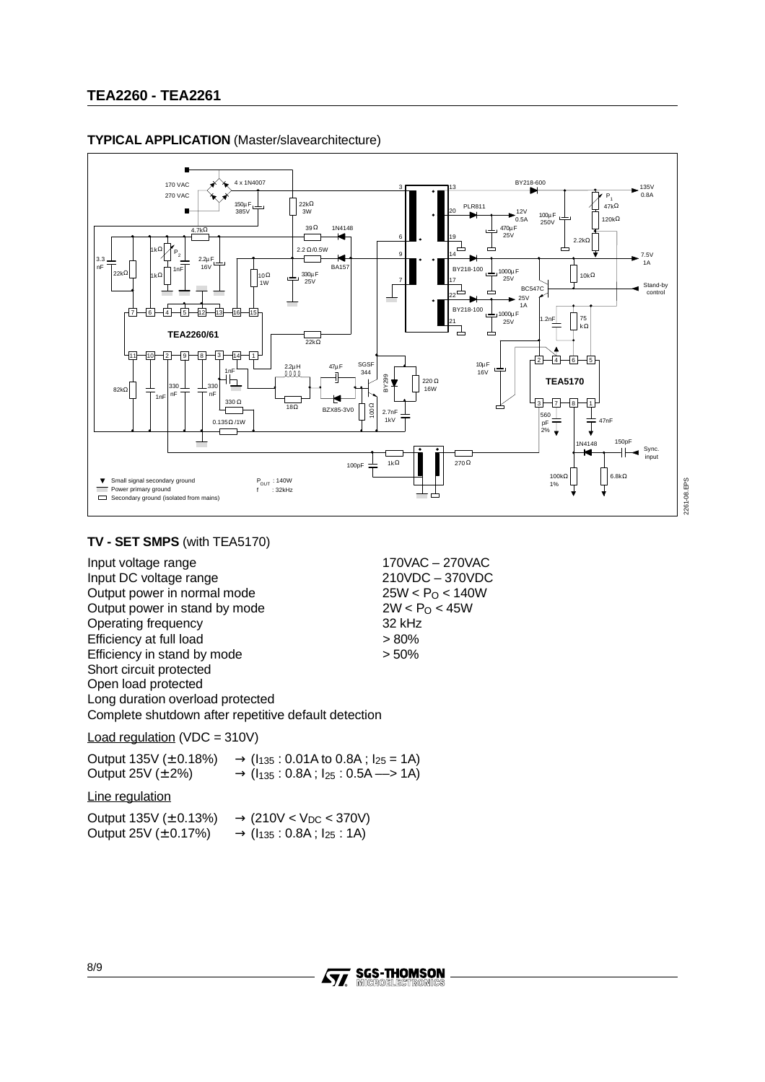

#### **TYPICAL APPLICATION** (Master/slavearchitecture)

## **TV - SET SMPS** (with TEA5170)

Input voltage range 170VAC – 270VAC Input DC voltage range  $210\text{VDC} - 370\text{VDC}$ <br>Output power in normal mode  $25\text{W} < P_{\text{O}} < 140\text{W}$ Output power in normal mode Output power in stand by mode  $2W < P<sub>O</sub> < 45W$ Operating frequency 32 kHz Efficiency at full load <br>
Efficiency in stand by mode  $> 50\%$ Efficiency in stand by mode Short circuit protected Open load protected Long duration overload protected Complete shutdown after repetitive default detection

Load regulation (VDC = 310V)

| Output $135V (\pm 0.18%)$ | $\rightarrow$ ( $I_{135}$ : 0.01A to 0.8A; $I_{25}$ = 1A) |
|---------------------------|-----------------------------------------------------------|
| Output $25V (\pm 2\%)$    | $\rightarrow$ ( $I_{135}$ : 0.8A; $I_{25}$ : 0.5A --> 1A) |

Line regulation

Output 135V ( $\pm$  0.13%)  $\rightarrow$  (210V < V<sub>DC</sub> < 370V) Output 25V ( $\pm$  0.17%)  $\rightarrow$  ( $I_{135}$  : 0.8A;  $I_{25}$  : 1A)



2261-08.EPS 2261-08.EPS